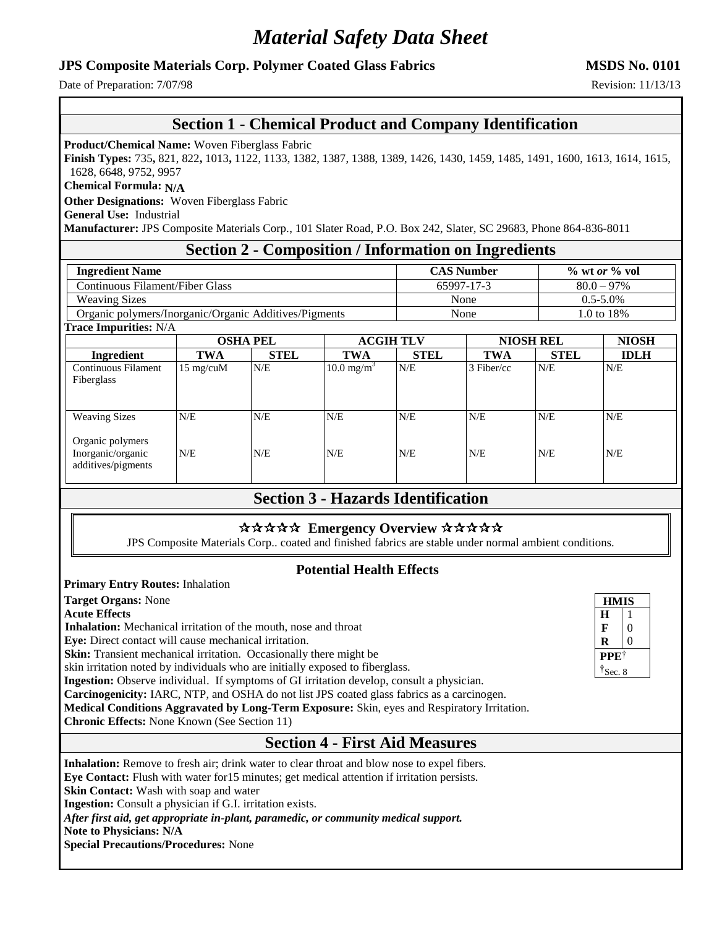# *Material Safety Data Sheet*

#### **JPS Composite Materials Corp. Polymer Coated Glass Fabrics MSDS No. 0101**

Date of Preparation:  $7/07/98$  Revision: 11/13/13

### **Section 1 - Chemical Product and Company Identification**

**Product/Chemical Name:** Woven Fiberglass Fabric

**Finish Types:** 735**,** 821, 822**,** 1013**,** 1122, 1133, 1382, 1387, 1388, 1389, 1426, 1430, 1459, 1485, 1491, 1600, 1613, 1614, 1615, 1628, 6648, 9752, 9957

**Chemical Formula: N/A**

**Other Designations:** Woven Fiberglass Fabric

**General Use:** Industrial

**Manufacturer:** JPS Composite Materials Corp., 101 Slater Road, P.O. Box 242, Slater, SC 29683, Phone 864-836-8011

### **Section 2 - Composition / Information on Ingredients**

| <b>Ingredient Name</b>                                | <b>CAS Number</b> | $\%$ wt <i>or</i> $\%$ vol |  |
|-------------------------------------------------------|-------------------|----------------------------|--|
| Continuous Filament/Fiber Glass                       | 65997-17-3        | $80.0 - 97\%$              |  |
| <b>Weaving Sizes</b>                                  | None              | $0.5 - 5.0\%$              |  |
| Organic polymers/Inorganic/Organic Additives/Pigments | None              | 1.0 to 18%                 |  |

**Trace Impurities:** N/A

|                                                             | <b>OSHA PEL</b>     |             | <b>ACGIH TLV</b>         |             | <b>NIOSH REL</b> |             | <b>NIOSH</b> |  |
|-------------------------------------------------------------|---------------------|-------------|--------------------------|-------------|------------------|-------------|--------------|--|
| <b>Ingredient</b>                                           | TWA                 | <b>STEL</b> | <b>TWA</b>               | <b>STEL</b> | <b>TWA</b>       | <b>STEL</b> | <b>IDLH</b>  |  |
| Continuous Filament<br>Fiberglass                           | $15 \text{ mg/cuM}$ | N/E         | $10.0$ mg/m <sup>3</sup> | N/E         | $3$ Fiber/cc     | N/E         | N/E          |  |
| <b>Weaving Sizes</b>                                        | N/E                 | N/E         | N/E                      | N/E         | N/E              | N/E         | N/E          |  |
| Organic polymers<br>Inorganic/organic<br>additives/pigments | N/E                 | N/E         | N/E                      | N/E         | N/E              | N/E         | N/E          |  |

## **Section 3 - Hazards Identification**

#### \*\*\*\*\* Emergency Overview \*\*\*\*\*

JPS Composite Materials Corp.. coated and finished fabrics are stable under normal ambient conditions.

### **Potential Health Effects**

| <b>Primary Entry Routes: Inhalation</b>                                                            |                  |          |
|----------------------------------------------------------------------------------------------------|------------------|----------|
| <b>Target Organs: None</b>                                                                         | <b>HMIS</b>      |          |
| <b>Acute Effects</b>                                                                               | H                |          |
| <b>Inhalation:</b> Mechanical irritation of the mouth, nose and throat                             | F                |          |
| Eye: Direct contact will cause mechanical irritation.                                              | R                | $\theta$ |
| <b>Skin:</b> Transient mechanical irritation. Occasionally there might be                          | <b>PPET</b>      |          |
| skin irritation noted by individuals who are initially exposed to fiberglass.                      | $\dagger$ Sec. 8 |          |
| Ingestion: Observe individual. If symptoms of GI irritation develop, consult a physician.          |                  |          |
| <b>Carcinogenicity:</b> IARC, NTP, and OSHA do not list JPS coated glass fabrics as a carcinogen.  |                  |          |
| Medical Conditions Aggravated by Long-Term Exposure: Skin, eyes and Respiratory Irritation.        |                  |          |
| <b>Chronic Effects:</b> None Known (See Section 11)                                                |                  |          |
| <b>Section 4 - First Aid Measures</b>                                                              |                  |          |
| <b>Inhalation:</b> Remove to fresh air; drink water to clear throat and blow nose to expel fibers. |                  |          |
| Eye Contact: Flush with water for 15 minutes; get medical attention if irritation persists.        |                  |          |
| Skin Contact: Wash with soap and water                                                             |                  |          |
| <b>Ingestion:</b> Consult a physician if G.I. irritation exists.                                   |                  |          |
| A fear find ald a ceannaireach in alace, a mar alla an concernate and district the                 |                  |          |

*After first aid, get appropriate in-plant, paramedic, or community medical support.*

**Note to Physicians: N/A**

**Special Precautions/Procedures:** None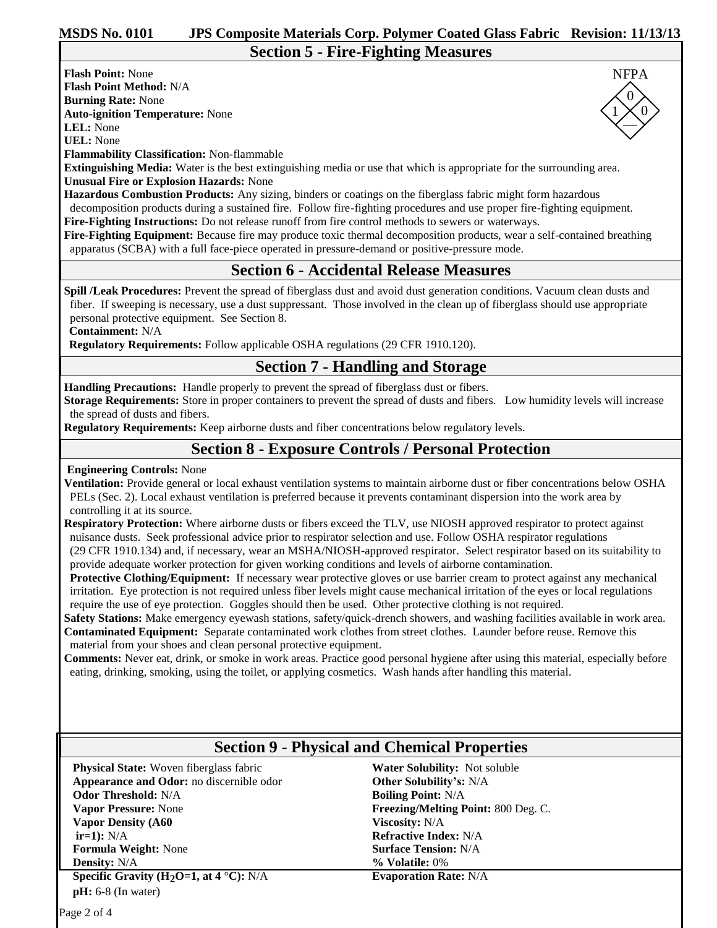—

 $\Omega$  $1 \times 0$ 

NFPA

**Flash Point:** None **Flash Point Method:** N/A **Burning Rate:** None **Auto-ignition Temperature:** None

**LEL:** None **UEL:** None

**Flammability Classification:** Non-flammable

**Extinguishing Media:** Water is the best extinguishing media or use that which is appropriate for the surrounding area. **Unusual Fire or Explosion Hazards:** None

**Hazardous Combustion Products:** Any sizing, binders or coatings on the fiberglass fabric might form hazardous

decomposition products during a sustained fire. Follow fire-fighting procedures and use proper fire-fighting equipment.

**Fire-Fighting Instructions:** Do not release runoff from fire control methods to sewers or waterways.

**Fire-Fighting Equipment:** Because fire may produce toxic thermal decomposition products, wear a self-contained breathing apparatus (SCBA) with a full face-piece operated in pressure-demand or positive-pressure mode.

## **Section 6 - Accidental Release Measures**

**Spill /Leak Procedures:** Prevent the spread of fiberglass dust and avoid dust generation conditions. Vacuum clean dusts and fiber. If sweeping is necessary, use a dust suppressant. Those involved in the clean up of fiberglass should use appropriate personal protective equipment. See Section 8.

**Containment:** N/A

**Regulatory Requirements:** Follow applicable OSHA regulations (29 CFR 1910.120).

## **Section 7 - Handling and Storage**

**Handling Precautions:** Handle properly to prevent the spread of fiberglass dust or fibers.

**Storage Requirements:** Store in proper containers to prevent the spread of dusts and fibers. Low humidity levels will increase the spread of dusts and fibers.

**Regulatory Requirements:** Keep airborne dusts and fiber concentrations below regulatory levels.

## **Section 8 - Exposure Controls / Personal Protection**

#### **Engineering Controls:** None

**Ventilation:** Provide general or local exhaust ventilation systems to maintain airborne dust or fiber concentrations below OSHA PELs (Sec. 2). Local exhaust ventilation is preferred because it prevents contaminant dispersion into the work area by controlling it at its source.

**Respiratory Protection:** Where airborne dusts or fibers exceed the TLV, use NIOSH approved respirator to protect against nuisance dusts. Seek professional advice prior to respirator selection and use. Follow OSHA respirator regulations (29 CFR 1910.134) and, if necessary, wear an MSHA/NIOSH-approved respirator. Select respirator based on its suitability to provide adequate worker protection for given working conditions and levels of airborne contamination.

**Protective Clothing/Equipment:** If necessary wear protective gloves or use barrier cream to protect against any mechanical irritation. Eye protection is not required unless fiber levels might cause mechanical irritation of the eyes or local regulations require the use of eye protection. Goggles should then be used. Other protective clothing is not required.

**Safety Stations:** Make emergency eyewash stations, safety/quick-drench showers, and washing facilities available in work area. **Contaminated Equipment:** Separate contaminated work clothes from street clothes. Launder before reuse. Remove this material from your shoes and clean personal protective equipment.

**Comments:** Never eat, drink, or smoke in work areas. Practice good personal hygiene after using this material, especially before eating, drinking, smoking, using the toilet, or applying cosmetics. Wash hands after handling this material.

## **Section 9 - Physical and Chemical Properties**

**Physical State:** Woven fiberglass fabric **Appearance and Odor:** no discernible odor **Odor Threshold:** N/A **Vapor Pressure:** None **Vapor Density (A60 ir=1):** N/A **Formula Weight:** None **Density:** N/A

**Specific Gravity (H2O=1, at 4** °**C):** N/A **pH:** 6-8 (In water)

**Water Solubility:** Not soluble **Other Solubility's:** N/A **Boiling Point:** N/A **Freezing/Melting Point:** 800 Deg. C. **Viscosity:** N/A **Refractive Index:** N/A **Surface Tension:** N/A **% Volatile:** 0% **Evaporation Rate:** N/A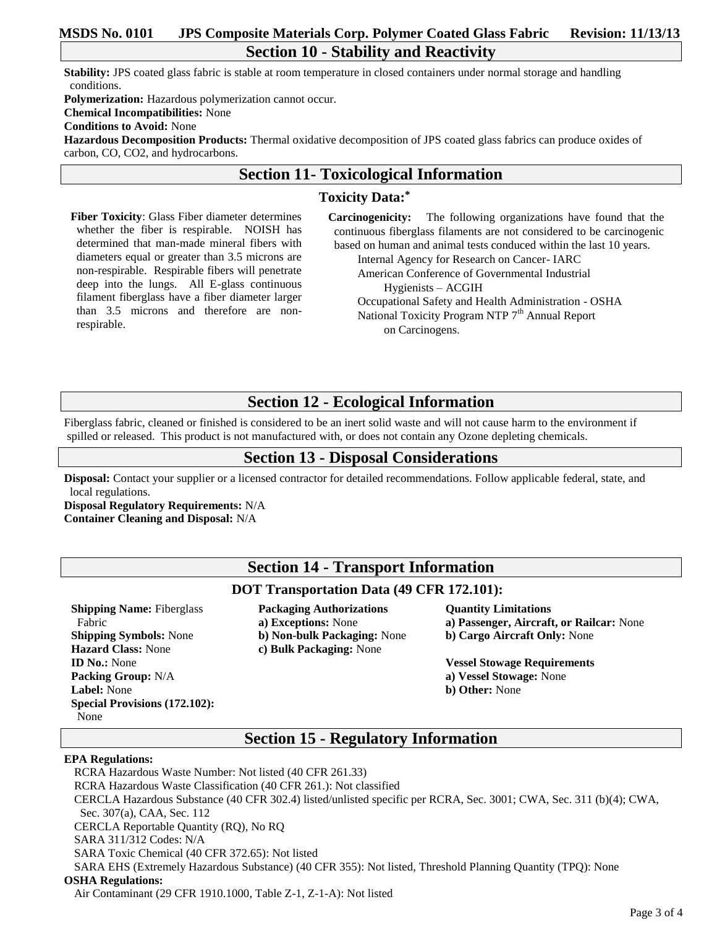### **MSDS No. 0101 JPS Composite Materials Corp. Polymer Coated Glass Fabric Revision: 11/13/13 Section 10 - Stability and Reactivity**

**Stability:** JPS coated glass fabric is stable at room temperature in closed containers under normal storage and handling conditions.

**Polymerization:** Hazardous polymerization cannot occur. **Chemical Incompatibilities:** None **Conditions to Avoid:** None

**Hazardous Decomposition Products:** Thermal oxidative decomposition of JPS coated glass fabrics can produce oxides of carbon, CO, CO2, and hydrocarbons.

## **Section 11- Toxicological Information**

#### **Toxicity Data:\***

**Fiber Toxicity**: Glass Fiber diameter determines whether the fiber is respirable. NOISH has determined that man-made mineral fibers with diameters equal or greater than 3.5 microns are non-respirable. Respirable fibers will penetrate deep into the lungs. All E-glass continuous filament fiberglass have a fiber diameter larger than 3.5 microns and therefore are nonrespirable.

**Carcinogenicity:** The following organizations have found that the continuous fiberglass filaments are not considered to be carcinogenic based on human and animal tests conduced within the last 10 years. Internal Agency for Research on Cancer- IARC

 American Conference of Governmental Industrial Hygienists – ACGIH Occupational Safety and Health Administration - OSHA National Toxicity Program NTP 7<sup>th</sup> Annual Report

on Carcinogens.

## **Section 12 - Ecological Information**

Fiberglass fabric, cleaned or finished is considered to be an inert solid waste and will not cause harm to the environment if spilled or released. This product is not manufactured with, or does not contain any Ozone depleting chemicals.

## **Section 13 - Disposal Considerations**

**Disposal:** Contact your supplier or a licensed contractor for detailed recommendations. Follow applicable federal, state, and local regulations.

**Disposal Regulatory Requirements:** N/A **Container Cleaning and Disposal:** N/A

## **Section 14 - Transport Information**

#### **DOT Transportation Data (49 CFR 172.101):**

**Shipping Name:** Fiberglass Fabric **Shipping Symbols:** None **Hazard Class:** None **ID No.:** None **Packing Group:** N/A **Label:** None **Special Provisions (172.102):**  None

**Packaging Authorizations a) Exceptions:** None **b) Non-bulk Packaging:** None **c) Bulk Packaging:** None

#### **Quantity Limitations a) Passenger, Aircraft, or Railcar:** None **b) Cargo Aircraft Only:** None

**Vessel Stowage Requirements a) Vessel Stowage:** None **b) Other:** None

## **Section 15 - Regulatory Information**

#### **EPA Regulations:**

RCRA Hazardous Waste Number: Not listed (40 CFR 261.33) RCRA Hazardous Waste Classification (40 CFR 261.): Not classified CERCLA Hazardous Substance (40 CFR 302.4) listed/unlisted specific per RCRA, Sec. 3001; CWA, Sec. 311 (b)(4); CWA, Sec. 307(a), CAA, Sec. 112 CERCLA Reportable Quantity (RQ), No RQ SARA 311/312 Codes: N/A SARA Toxic Chemical (40 CFR 372.65): Not listed SARA EHS (Extremely Hazardous Substance) (40 CFR 355): Not listed, Threshold Planning Quantity (TPQ): None **OSHA Regulations:**

Air Contaminant (29 CFR 1910.1000, Table Z-1, Z-1-A): Not listed